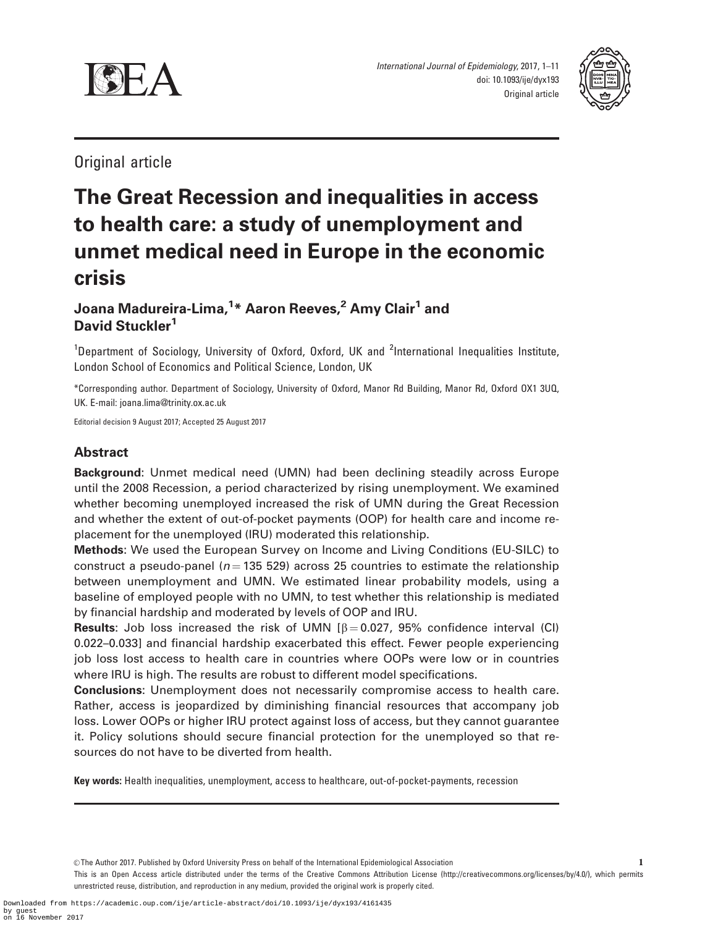



Original article

# The Great Recession and inequalities in access to health care: a study of unemployment and unmet medical need in Europe in the economic crisis

# Joana Madureira-Lima,<sup>1</sup>\* Aaron Reeves,<sup>2</sup> Amy Clair<sup>1</sup> and David Stuckler<sup>1</sup>

<sup>1</sup>Department of Sociology, University of Oxford, Oxford, UK and <sup>2</sup>International Inequalities Institute, London School of Economics and Political Science, London, UK

\*Corresponding author. Department of Sociology, University of Oxford, Manor Rd Building, Manor Rd, Oxford OX1 3UQ, UK. E-mail: joana.lima@trinity.ox.ac.uk

Editorial decision 9 August 2017; Accepted 25 August 2017

# Abstract

Background: Unmet medical need (UMN) had been declining steadily across Europe until the 2008 Recession, a period characterized by rising unemployment. We examined whether becoming unemployed increased the risk of UMN during the Great Recession and whether the extent of out-of-pocket payments (OOP) for health care and income replacement for the unemployed (IRU) moderated this relationship.

Methods: We used the European Survey on Income and Living Conditions (EU-SILC) to construct a pseudo-panel ( $n = 135$  529) across 25 countries to estimate the relationship between unemployment and UMN. We estimated linear probability models, using a baseline of employed people with no UMN, to test whether this relationship is mediated by financial hardship and moderated by levels of OOP and IRU.

**Results:** Job loss increased the risk of UMN  $\beta = 0.027$ , 95% confidence interval (CI) 0.022–0.033] and financial hardship exacerbated this effect. Fewer people experiencing job loss lost access to health care in countries where OOPs were low or in countries where IRU is high. The results are robust to different model specifications.

Conclusions: Unemployment does not necessarily compromise access to health care. Rather, access is jeopardized by diminishing financial resources that accompany job loss. Lower OOPs or higher IRU protect against loss of access, but they cannot guarantee it. Policy solutions should secure financial protection for the unemployed so that resources do not have to be diverted from health.

Key words: Health inequalities, unemployment, access to healthcare, out-of-pocket-payments, recession

 $©$  The Author 2017. Published by Oxford University Press on behalf of the International Epidemiological Association

This is an Open Access article distributed under the terms of the Creative Commons Attribution License (http://creativecommons.org/licenses/by/4.0/), which permits unrestricted reuse, distribution, and reproduction in any medium, provided the original work is properly cited.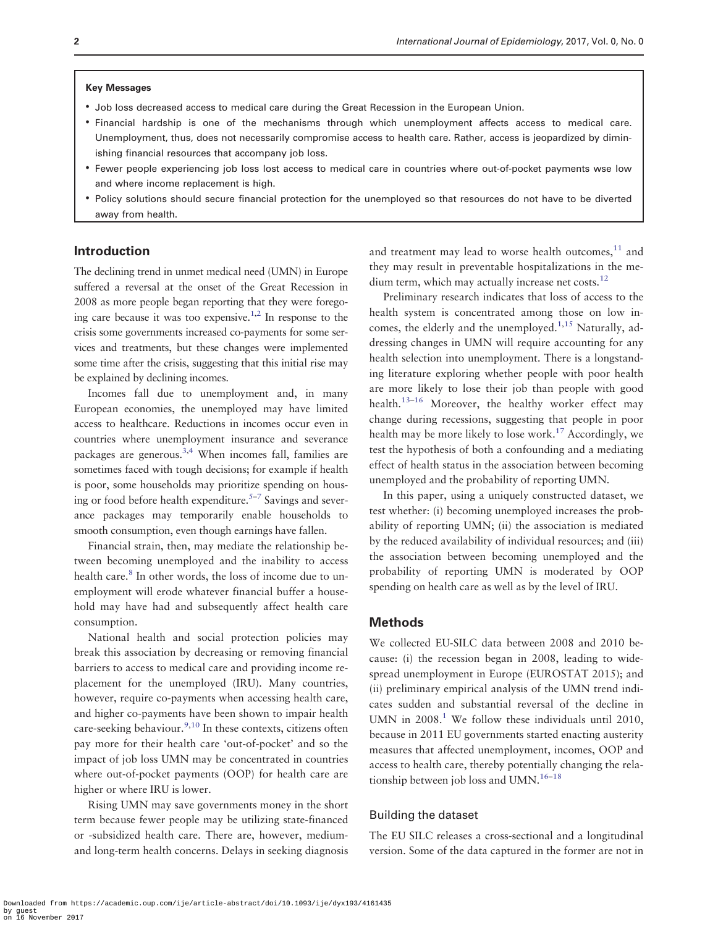#### Key Messages

- Job loss decreased access to medical care during the Great Recession in the European Union.
- Financial hardship is one of the mechanisms through which unemployment affects access to medical care. Unemployment, thus, does not necessarily compromise access to health care. Rather, access is jeopardized by diminishing financial resources that accompany job loss.
- Fewer people experiencing job loss lost access to medical care in countries where out-of-pocket payments wse low and where income replacement is high.
- Policy solutions should secure financial protection for the unemployed so that resources do not have to be diverted away from health.

#### Introduction

The declining trend in unmet medical need (UMN) in Europe suffered a reversal at the onset of the Great Recession in 2008 as more people began reporting that they were forego-ing care because it was too expensive.<sup>[1,2](#page-9-0)</sup> In response to the crisis some governments increased co-payments for some services and treatments, but these changes were implemented some time after the crisis, suggesting that this initial rise may be explained by declining incomes.

Incomes fall due to unemployment and, in many European economies, the unemployed may have limited access to healthcare. Reductions in incomes occur even in countries where unemployment insurance and severance packages are generous[.3,4](#page-9-0) When incomes fall, families are sometimes faced with tough decisions; for example if health is poor, some households may prioritize spending on housing or food before health expenditure.<sup> $5-7$ </sup> Savings and severance packages may temporarily enable households to smooth consumption, even though earnings have fallen.

Financial strain, then, may mediate the relationship between becoming unemployed and the inability to access health care.<sup>[8](#page-9-0)</sup> In other words, the loss of income due to unemployment will erode whatever financial buffer a household may have had and subsequently affect health care consumption.

National health and social protection policies may break this association by decreasing or removing financial barriers to access to medical care and providing income replacement for the unemployed (IRU). Many countries, however, require co-payments when accessing health care, and higher co-payments have been shown to impair health care-seeking behaviour. $^{9,10}$  $^{9,10}$  $^{9,10}$  In these contexts, citizens often pay more for their health care 'out-of-pocket' and so the impact of job loss UMN may be concentrated in countries where out-of-pocket payments (OOP) for health care are higher or where IRU is lower.

Rising UMN may save governments money in the short term because fewer people may be utilizing state-financed or -subsidized health care. There are, however, mediumand long-term health concerns. Delays in seeking diagnosis and treatment may lead to worse health outcomes, $11$  and they may result in preventable hospitalizations in the me-dium term, which may actually increase net costs.<sup>[12](#page-9-0)</sup>

Preliminary research indicates that loss of access to the health system is concentrated among those on low in-comes, the elderly and the unemployed.<sup>[1](#page-9-0)[,15](#page-10-0)</sup> Naturally, addressing changes in UMN will require accounting for any health selection into unemployment. There is a longstanding literature exploring whether people with poor health are more likely to lose their job than people with good health.<sup>13[–16](#page-10-0)</sup> Moreover, the healthy worker effect may change during recessions, suggesting that people in poor health may be more likely to lose work.<sup>[17](#page-10-0)</sup> Accordingly, we test the hypothesis of both a confounding and a mediating effect of health status in the association between becoming unemployed and the probability of reporting UMN.

In this paper, using a uniquely constructed dataset, we test whether: (i) becoming unemployed increases the probability of reporting UMN; (ii) the association is mediated by the reduced availability of individual resources; and (iii) the association between becoming unemployed and the probability of reporting UMN is moderated by OOP spending on health care as well as by the level of IRU.

## Methods

We collected EU-SILC data between 2008 and 2010 because: (i) the recession began in 2008, leading to widespread unemployment in Europe (EUROSTAT 2015); and (ii) preliminary empirical analysis of the UMN trend indicates sudden and substantial reversal of the decline in UMN in  $2008<sup>1</sup>$  We follow these individuals until 2010, because in 2011 EU governments started enacting austerity measures that affected unemployment, incomes, OOP and access to health care, thereby potentially changing the relationship between job loss and UMN. $16-18$  $16-18$ 

#### Building the dataset

The EU SILC releases a cross-sectional and a longitudinal version. Some of the data captured in the former are not in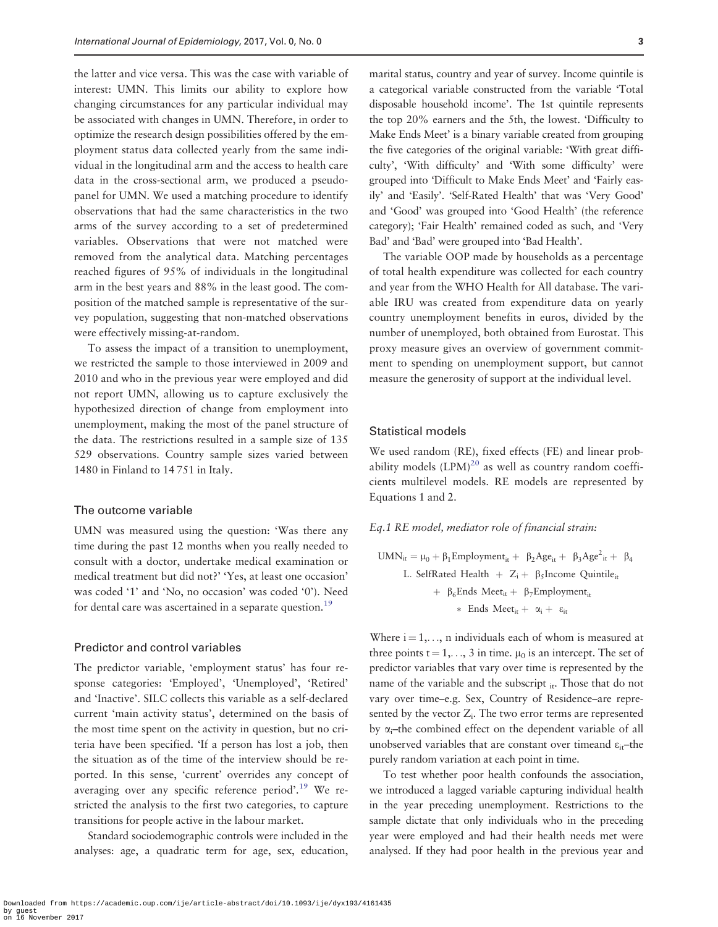the latter and vice versa. This was the case with variable of interest: UMN. This limits our ability to explore how changing circumstances for any particular individual may be associated with changes in UMN. Therefore, in order to optimize the research design possibilities offered by the employment status data collected yearly from the same individual in the longitudinal arm and the access to health care data in the cross-sectional arm, we produced a pseudopanel for UMN. We used a matching procedure to identify observations that had the same characteristics in the two arms of the survey according to a set of predetermined variables. Observations that were not matched were removed from the analytical data. Matching percentages reached figures of 95% of individuals in the longitudinal arm in the best years and 88% in the least good. The composition of the matched sample is representative of the survey population, suggesting that non-matched observations were effectively missing-at-random.

To assess the impact of a transition to unemployment, we restricted the sample to those interviewed in 2009 and 2010 and who in the previous year were employed and did not report UMN, allowing us to capture exclusively the hypothesized direction of change from employment into unemployment, making the most of the panel structure of the data. The restrictions resulted in a sample size of 135 529 observations. Country sample sizes varied between 1480 in Finland to 14 751 in Italy.

# The outcome variable

UMN was measured using the question: 'Was there any time during the past 12 months when you really needed to consult with a doctor, undertake medical examination or medical treatment but did not?' 'Yes, at least one occasion' was coded '1' and 'No, no occasion' was coded '0'). Need for dental care was ascertained in a separate question.<sup>19</sup>

#### Predictor and control variables

The predictor variable, 'employment status' has four response categories: 'Employed', 'Unemployed', 'Retired' and 'Inactive'. SILC collects this variable as a self-declared current 'main activity status', determined on the basis of the most time spent on the activity in question, but no criteria have been specified. 'If a person has lost a job, then the situation as of the time of the interview should be reported. In this sense, 'current' overrides any concept of averaging over any specific reference period'.<sup>19</sup> We restricted the analysis to the first two categories, to capture transitions for people active in the labour market.

Standard sociodemographic controls were included in the analyses: age, a quadratic term for age, sex, education,

marital status, country and year of survey. Income quintile is a categorical variable constructed from the variable 'Total disposable household income'. The 1st quintile represents the top 20% earners and the 5th, the lowest. 'Difficulty to Make Ends Meet' is a binary variable created from grouping the five categories of the original variable: 'With great difficulty', 'With difficulty' and 'With some difficulty' were grouped into 'Difficult to Make Ends Meet' and 'Fairly easily' and 'Easily'. 'Self-Rated Health' that was 'Very Good' and 'Good' was grouped into 'Good Health' (the reference category); 'Fair Health' remained coded as such, and 'Very Bad' and 'Bad' were grouped into 'Bad Health'.

The variable OOP made by households as a percentage of total health expenditure was collected for each country and year from the WHO Health for All database. The variable IRU was created from expenditure data on yearly country unemployment benefits in euros, divided by the number of unemployed, both obtained from Eurostat. This proxy measure gives an overview of government commitment to spending on unemployment support, but cannot measure the generosity of support at the individual level.

## Statistical models

We used random (RE), fixed effects (FE) and linear probability models  $(LPM)^{20}$  as well as country random coefficients multilevel models. RE models are represented by Equations 1 and 2.

#### Eq.1 RE model, mediator role of financial strain:

$$
UMN_{it} = \mu_0 + \beta_1 Employment_{it} + \beta_2 Age_{it} + \beta_3 Age_{it}^2 + \beta_4
$$
  
\nL. SelfRated Health + Z<sub>i</sub> +  $\beta_5$ Income Quintile<sub>it</sub>  
\n+  $\beta_6$ Ends Meet<sub>it</sub> +  $\beta_7$ Employment<sub>it</sub>  
\n\* Ends Meet<sub>it</sub> +  $\alpha_i$  +  $\varepsilon_{it}$ 

Where  $i = 1, \ldots, n$  individuals each of whom is measured at three points  $t = 1, \ldots, 3$  in time.  $\mu_0$  is an intercept. The set of predictor variables that vary over time is represented by the name of the variable and the subscript  $_{it}$ . Those that do not vary over time–e.g. Sex, Country of Residence–are represented by the vector  $Z_i$ . The two error terms are represented by  $\alpha_i$ –the combined effect on the dependent variable of all unobserved variables that are constant over timeand  $\varepsilon_{i}$ –the purely random variation at each point in time.

To test whether poor health confounds the association, we introduced a lagged variable capturing individual health in the year preceding unemployment. Restrictions to the sample dictate that only individuals who in the preceding year were employed and had their health needs met were analysed. If they had poor health in the previous year and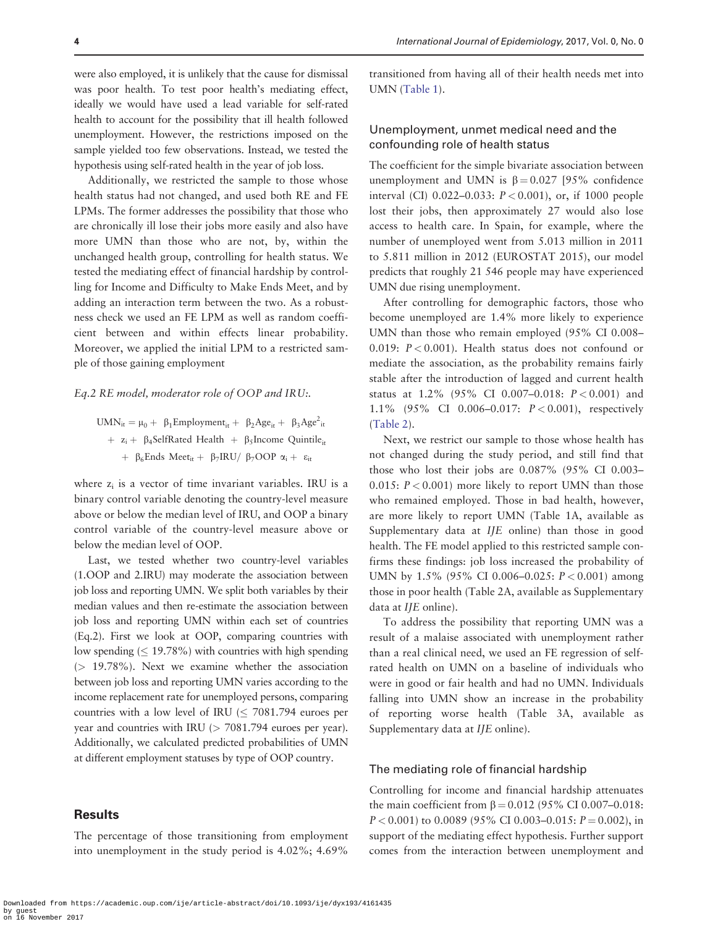were also employed, it is unlikely that the cause for dismissal was poor health. To test poor health's mediating effect, ideally we would have used a lead variable for self-rated health to account for the possibility that ill health followed unemployment. However, the restrictions imposed on the sample yielded too few observations. Instead, we tested the hypothesis using self-rated health in the year of job loss.

Additionally, we restricted the sample to those whose health status had not changed, and used both RE and FE LPMs. The former addresses the possibility that those who are chronically ill lose their jobs more easily and also have more UMN than those who are not, by, within the unchanged health group, controlling for health status. We tested the mediating effect of financial hardship by controlling for Income and Difficulty to Make Ends Meet, and by adding an interaction term between the two. As a robustness check we used an FE LPM as well as random coefficient between and within effects linear probability. Moreover, we applied the initial LPM to a restricted sample of those gaining employment

#### Eq.2 RE model, moderator role of OOP and IRU:.

 $UMN_{it} = \mu_0 + \beta_1$ Employment<sub>it</sub> +  $\beta_2 Age_{it} + \beta_3 Age_{it}^2$ +  $z_i$  +  $\beta_4$ SelfRated Health +  $\beta_5$ Income Quintile<sub>it</sub>  $+$  β<sub>6</sub>Ends Meet<sub>it</sub> + β<sub>7</sub>IRU/ β<sub>7</sub>OOP  $\alpha$ <sub>i</sub> + ε<sub>it</sub>

where  $z_i$  is a vector of time invariant variables. IRU is a binary control variable denoting the country-level measure above or below the median level of IRU, and OOP a binary control variable of the country-level measure above or below the median level of OOP.

Last, we tested whether two country-level variables (1.OOP and 2.IRU) may moderate the association between job loss and reporting UMN. We split both variables by their median values and then re-estimate the association between job loss and reporting UMN within each set of countries (Eq.2). First we look at OOP, comparing countries with low spending  $( \leq 19.78\%)$  with countries with high spending  $(> 19.78\%)$ . Next we examine whether the association between job loss and reporting UMN varies according to the income replacement rate for unemployed persons, comparing countries with a low level of IRU  $\leq 7081.794$  euroes per year and countries with IRU (> 7081.794 euroes per year). Additionally, we calculated predicted probabilities of UMN at different employment statuses by type of OOP country.

#### Results

The percentage of those transitioning from employment into unemployment in the study period is 4.02%; 4.69%

transitioned from having all of their health needs met into UMN [\(Table 1](#page-4-0)).

# Unemployment, unmet medical need and the confounding role of health status

The coefficient for the simple bivariate association between unemployment and UMN is  $\beta = 0.027$  [95% confidence interval (CI) 0.022–0.033:  $P < 0.001$ ), or, if 1000 people lost their jobs, then approximately 27 would also lose access to health care. In Spain, for example, where the number of unemployed went from 5.013 million in 2011 to 5.811 million in 2012 (EUROSTAT 2015), our model predicts that roughly 21 546 people may have experienced UMN due rising unemployment.

After controlling for demographic factors, those who become unemployed are 1.4% more likely to experience UMN than those who remain employed (95% CI 0.008– 0.019:  $P < 0.001$ ). Health status does not confound or mediate the association, as the probability remains fairly stable after the introduction of lagged and current health status at 1.2% (95% CI 0.007–0.018: P < 0.001) and 1.1% (95% CI 0.006–0.017: P < 0.001), respectively [\(Table 2](#page-5-0)).

Next, we restrict our sample to those whose health has not changed during the study period, and still find that those who lost their jobs are 0.087% (95% CI 0.003– 0.015:  $P < 0.001$ ) more likely to report UMN than those who remained employed. Those in bad health, however, are more likely to report UMN (Table 1A, available as Supplementary data at IJE online) than those in good health. The FE model applied to this restricted sample confirms these findings: job loss increased the probability of UMN by 1.5% (95% CI 0.006–0.025:  $P < 0.001$ ) among those in poor health (Table 2A, available as Supplementary data at IJE online).

To address the possibility that reporting UMN was a result of a malaise associated with unemployment rather than a real clinical need, we used an FE regression of selfrated health on UMN on a baseline of individuals who were in good or fair health and had no UMN. Individuals falling into UMN show an increase in the probability of reporting worse health (Table 3A, available as Supplementary data at IJE online).

#### The mediating role of financial hardship

Controlling for income and financial hardship attenuates the main coefficient from  $\beta = 0.012$  (95% CI 0.007–0.018:  $P < 0.001$ ) to 0.0089 (95% CI 0.003–0.015:  $P = 0.002$ ), in support of the mediating effect hypothesis. Further support comes from the interaction between unemployment and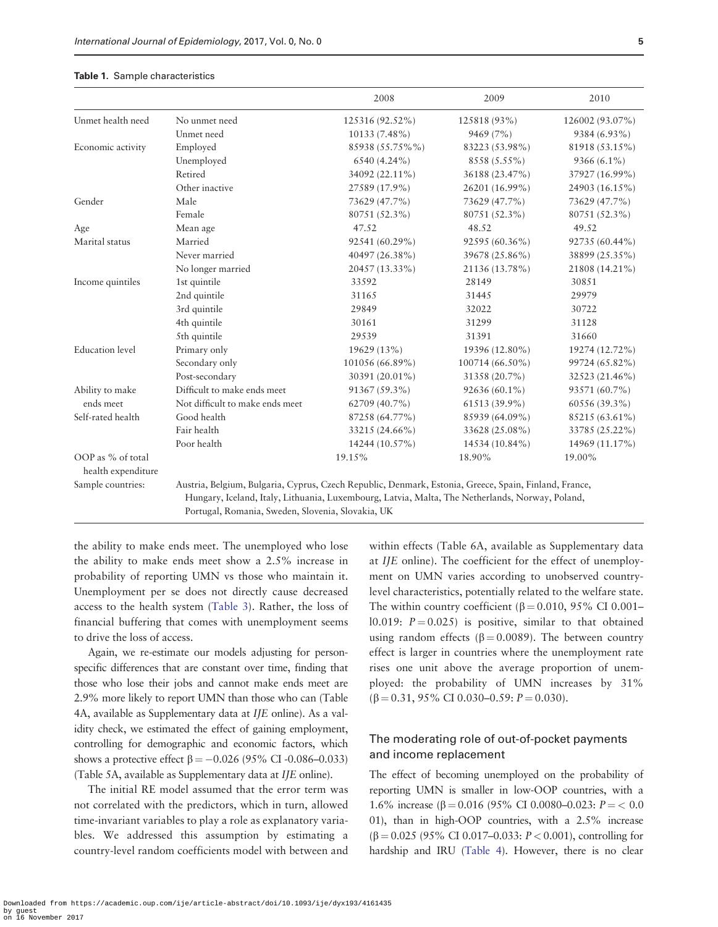#### <span id="page-4-0"></span>Table 1. Sample characteristics

|                                         |                                                                                                                                                                                                          | 2008            | 2009            | 2010            |
|-----------------------------------------|----------------------------------------------------------------------------------------------------------------------------------------------------------------------------------------------------------|-----------------|-----------------|-----------------|
| Unmet health need                       | No unmet need                                                                                                                                                                                            | 125316 (92.52%) | 125818 (93%)    | 126002 (93.07%) |
|                                         | Unmet need                                                                                                                                                                                               | 10133 (7.48%)   | 9469 (7%)       | 9384 (6.93%)    |
| Economic activity                       | Employed                                                                                                                                                                                                 | 85938 (55.75%%) | 83223 (53.98%)  | 81918 (53.15%)  |
|                                         | Unemployed                                                                                                                                                                                               | 6540 (4.24%)    | 8558 (5.55%)    | 9366 (6.1%)     |
|                                         | Retired                                                                                                                                                                                                  | 34092 (22.11%)  | 36188 (23.47%)  | 37927 (16.99%)  |
|                                         | Other inactive                                                                                                                                                                                           | 27589 (17.9%)   | 26201 (16.99%)  | 24903 (16.15%)  |
| Gender                                  | Male                                                                                                                                                                                                     | 73629 (47.7%)   | 73629 (47.7%)   | 73629 (47.7%)   |
|                                         | Female                                                                                                                                                                                                   | 80751 (52.3%)   | 80751 (52.3%)   | 80751 (52.3%)   |
| Age                                     | Mean age                                                                                                                                                                                                 | 47.52           | 48.52           | 49.52           |
| Marital status                          | Married                                                                                                                                                                                                  | 92541 (60.29%)  | 92595 (60.36%)  | 92735 (60.44%)  |
|                                         | Never married                                                                                                                                                                                            | 40497 (26.38%)  | 39678 (25.86%)  | 38899 (25.35%)  |
|                                         | No longer married                                                                                                                                                                                        | 20457 (13.33%)  | 21136 (13.78%)  | 21808 (14.21%)  |
| Income quintiles                        | 1st quintile                                                                                                                                                                                             | 33592           | 28149           | 30851           |
|                                         | 2nd quintile                                                                                                                                                                                             | 31165           | 31445           | 29979           |
|                                         | 3rd quintile                                                                                                                                                                                             | 29849           | 32022           | 30722           |
|                                         | 4th quintile                                                                                                                                                                                             | 30161           | 31299           | 31128           |
|                                         | 5th quintile                                                                                                                                                                                             | 29539           | 31391           | 31660           |
| <b>Education</b> level                  | Primary only                                                                                                                                                                                             | 19629 (13%)     | 19396 (12.80%)  | 19274 (12.72%)  |
|                                         | Secondary only                                                                                                                                                                                           | 101056 (66.89%) | 100714 (66.50%) | 99724 (65.82%)  |
|                                         | Post-secondary                                                                                                                                                                                           | 30391 (20.01%)  | 31358 (20.7%)   | 32523 (21.46%)  |
| Ability to make                         | Difficult to make ends meet                                                                                                                                                                              | 91367 (59.3%)   | 92636 (60.1%)   | 93571 (60.7%)   |
| ends meet                               | Not difficult to make ends meet                                                                                                                                                                          | 62709 (40.7%)   | 61513 (39.9%)   | 60556 (39.3%)   |
| Self-rated health                       | Good health                                                                                                                                                                                              | 87258 (64.77%)  | 85939 (64.09%)  | 85215 (63.61%)  |
|                                         | Fair health                                                                                                                                                                                              | 33215 (24.66%)  | 33628 (25.08%)  | 33785 (25.22%)  |
|                                         | Poor health                                                                                                                                                                                              | 14244 (10.57%)  | 14534 (10.84%)  | 14969 (11.17%)  |
| OOP as % of total<br>health expenditure |                                                                                                                                                                                                          | 19.15%          | 18.90%          | 19.00%          |
| Sample countries:                       | Austria, Belgium, Bulgaria, Cyprus, Czech Republic, Denmark, Estonia, Greece, Spain, Finland, France,<br>Hungary, Iceland, Italy, Lithuania, Luxembourg, Latvia, Malta, The Netherlands, Norway, Poland, |                 |                 |                 |

Portugal, Romania, Sweden, Slovenia, Slovakia, UK

the ability to make ends meet. The unemployed who lose the ability to make ends meet show a 2.5% increase in probability of reporting UMN vs those who maintain it. Unemployment per se does not directly cause decreased access to the health system [\(Table 3\)](#page-6-0). Rather, the loss of financial buffering that comes with unemployment seems to drive the loss of access.

Again, we re-estimate our models adjusting for personspecific differences that are constant over time, finding that those who lose their jobs and cannot make ends meet are 2.9% more likely to report UMN than those who can (Table 4A, available as Supplementary data at IJE online). As a validity check, we estimated the effect of gaining employment, controlling for demographic and economic factors, which shows a protective effect  $\beta = -0.026$  (95% CI -0.086–0.033) (Table 5A, available as Supplementary data at IJE online).

The initial RE model assumed that the error term was not correlated with the predictors, which in turn, allowed time-invariant variables to play a role as explanatory variables. We addressed this assumption by estimating a country-level random coefficients model with between and

within effects (Table 6A, available as Supplementary data at IJE online). The coefficient for the effect of unemployment on UMN varies according to unobserved countrylevel characteristics, potentially related to the welfare state. The within country coefficient ( $\beta$  = 0.010, 95% CI 0.001– l0.019:  $P = 0.025$  is positive, similar to that obtained using random effects ( $\beta = 0.0089$ ). The between country effect is larger in countries where the unemployment rate rises one unit above the average proportion of unemployed: the probability of UMN increases by 31%  $(\beta = 0.31, 95\% \text{ CI } 0.030 - 0.59$ :  $P = 0.030$ ).

# The moderating role of out-of-pocket payments and income replacement

The effect of becoming unemployed on the probability of reporting UMN is smaller in low-OOP countries, with a 1.6% increase ( $\beta$  = 0.016 (95% CI 0.0080–0.023:  $P =$  < 0.0 01), than in high-OOP countries, with a 2.5% increase  $(\beta = 0.025 \ (95\% \ CI \ 0.017 - 0.033; P < 0.001)$ , controlling for hardship and IRU [\(Table 4](#page-7-0)). However, there is no clear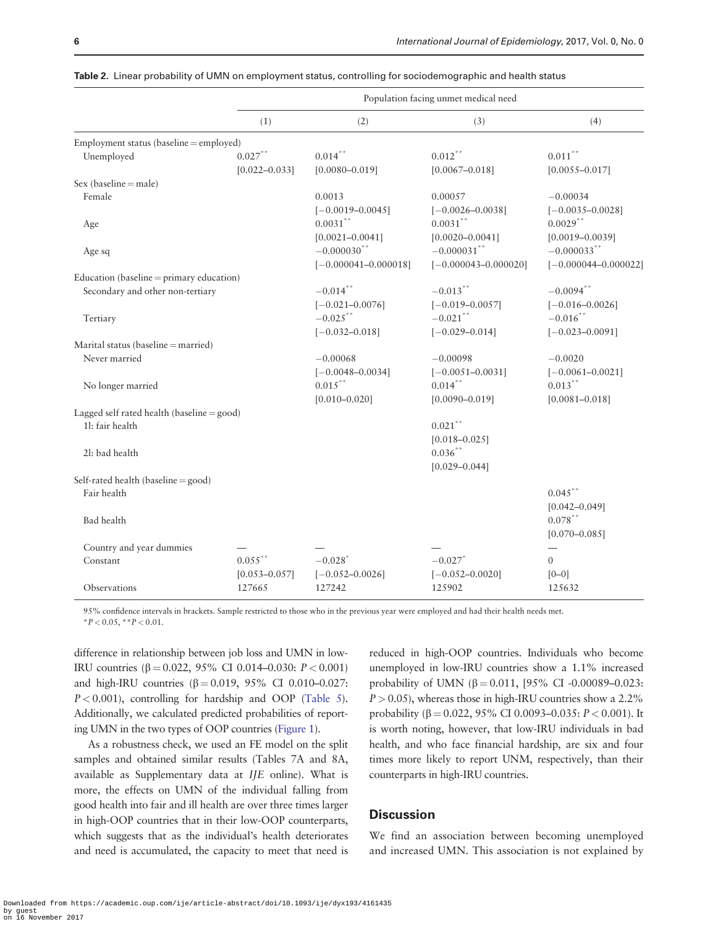|                                                    | Population facing unmet medical need |                                              |                                              |                                                      |
|----------------------------------------------------|--------------------------------------|----------------------------------------------|----------------------------------------------|------------------------------------------------------|
|                                                    | (1)                                  | (2)                                          | (3)                                          | (4)                                                  |
| Employment status (baseline = employed)            |                                      |                                              |                                              |                                                      |
| Unemployed                                         | $0.027$ **<br>$[0.022 - 0.033]$      | $0.014***$<br>$[0.0080 - 0.019]$             | $0.012***$<br>$[0.0067 - 0.018]$             | $0.011***$<br>$[0.0055 - 0.017]$                     |
| $Sex (baseline = male)$                            |                                      |                                              |                                              |                                                      |
| Female                                             |                                      | 0.0013<br>$[-0.0019 - 0.0045]$               | 0.00057<br>$[-0.0026 - 0.0038]$              | $-0.00034$<br>$[-0.0035 - 0.0028]$                   |
| Age                                                |                                      | $0.0031$ **<br>$[0.0021 - 0.0041]$           | $0.0031$ **<br>$[0.0020 - 0.0041]$           | $0.0029***$<br>$[0.0019 - 0.0039]$                   |
| Age sq                                             |                                      | $-0.000030$ **<br>$[-0.000041 - 0.000018]$   | $-0.000031$ **<br>$[-0.000043 - 0.000020]$   | $-0.000033$ **<br>$[-0.000044 - 0.000022]$           |
| Education (baseline = primary education)           |                                      |                                              |                                              |                                                      |
| Secondary and other non-tertiary                   |                                      | $-0.014$ **<br>$[-0.021 - 0.0076]$           | $-0.013***$<br>$[-0.019 - 0.0057]$           | $-0.0094**$<br>$[-0.016 - 0.0026]$                   |
| Tertiary                                           |                                      | $-0.025$ **<br>$[-0.032 - 0.018]$            | $-0.021$ **<br>$[-0.029 - 0.014]$            | $-0.016$ **<br>$[-0.023 - 0.0091]$                   |
| Marital status (baseline = married)                |                                      |                                              |                                              |                                                      |
| Never married                                      |                                      | $-0.00068$                                   | $-0.00098$                                   | $-0.0020$                                            |
|                                                    |                                      | $[-0.0048 - 0.0034]$                         | $[-0.0051 - 0.0031]$                         | $[-0.0061 - 0.0021]$                                 |
| No longer married                                  |                                      | $0.015***$<br>$[0.010 - 0.020]$              | $0.014***$<br>$[0.0090 - 0.019]$             | $0.013***$<br>$[0.0081 - 0.018]$                     |
| Lagged self rated health (baseline $=$ good)       |                                      |                                              |                                              |                                                      |
| 11: fair health                                    |                                      |                                              | $0.021$ **<br>$[0.018 - 0.025]$              |                                                      |
| 21: bad health                                     |                                      |                                              | $0.036***$<br>$[0.029 - 0.044]$              |                                                      |
| Self-rated health (baseline = good)<br>Fair health |                                      |                                              |                                              | $0.045***$                                           |
| Bad health                                         |                                      |                                              |                                              | $[0.042 - 0.049]$<br>$0.078***$<br>$[0.070 - 0.085]$ |
| Country and year dummies                           |                                      |                                              |                                              |                                                      |
| Constant                                           | $0.055***$<br>$[0.053 - 0.057]$      | $-0.028$ <sup>*</sup><br>$[-0.052 - 0.0026]$ | $-0.027$ <sup>*</sup><br>$[-0.052 - 0.0020]$ | $\Omega$<br>$[0 - 0]$                                |
| Observations                                       | 127665                               | 127242                                       | 125902                                       | 125632                                               |

<span id="page-5-0"></span>Table 2. Linear probability of UMN on employment status, controlling for sociodemographic and health status

95% confidence intervals in brackets. Sample restricted to those who in the previous year were employed and had their health needs met.  $*P < 0.05$ ,  $*P < 0.01$ .

difference in relationship between job loss and UMN in low-IRU countries (β = 0.022, 95% CI 0.014–0.030:  $P < 0.001$ ) and high-IRU countries  $(\beta = 0.019, 95\% \text{ CI } 0.010 - 0.027$ :  $P < 0.001$ ), controlling for hardship and OOP [\(Table 5\)](#page-8-0). Additionally, we calculated predicted probabilities of reporting UMN in the two types of OOP countries [\(Figure 1](#page-9-0)).

As a robustness check, we used an FE model on the split samples and obtained similar results (Tables 7A and 8A, available as Supplementary data at IJE online). What is more, the effects on UMN of the individual falling from good health into fair and ill health are over three times larger in high-OOP countries that in their low-OOP counterparts, which suggests that as the individual's health deteriorates and need is accumulated, the capacity to meet that need is reduced in high-OOP countries. Individuals who become unemployed in low-IRU countries show a 1.1% increased probability of UMN ( $\beta = 0.011$ , [95% CI -0.00089–0.023:  $P > 0.05$ ), whereas those in high-IRU countries show a 2.2% probability ( $\beta = 0.022$ , 95% CI 0.0093–0.035:  $P < 0.001$ ). It is worth noting, however, that low-IRU individuals in bad health, and who face financial hardship, are six and four times more likely to report UNM, respectively, than their counterparts in high-IRU countries.

## **Discussion**

We find an association between becoming unemployed and increased UMN. This association is not explained by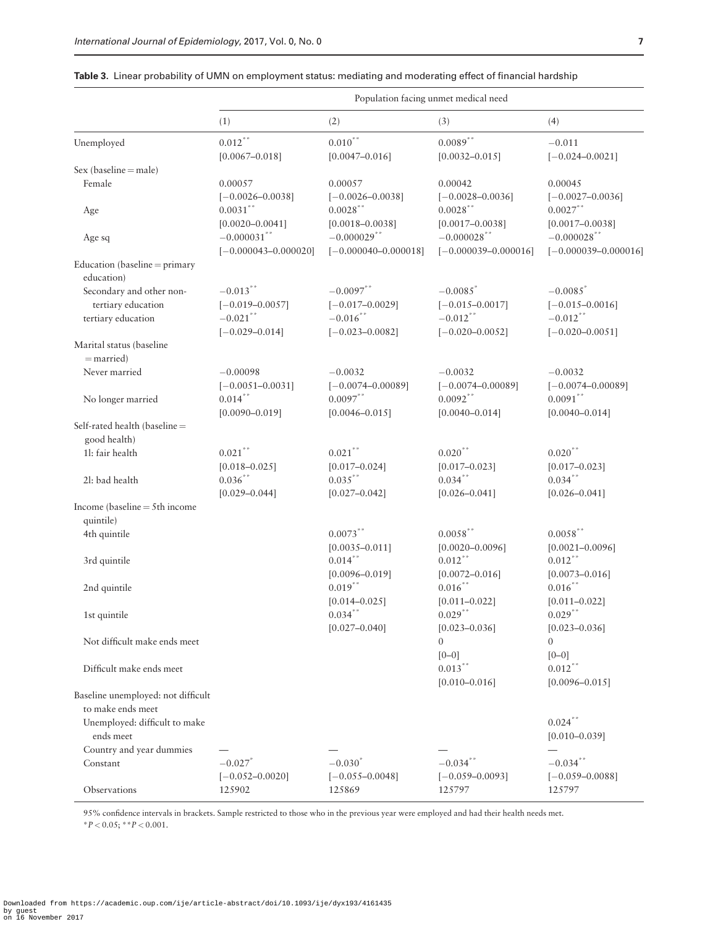|                                               | Population facing unmet medical need |                                     |                                     |                                 |
|-----------------------------------------------|--------------------------------------|-------------------------------------|-------------------------------------|---------------------------------|
|                                               | (1)                                  | (2)                                 | (3)                                 | (4)                             |
| Unemployed                                    | $0.012***$<br>$[0.0067 - 0.018]$     | $0.010\sp{*}$<br>$[0.0047 - 0.016]$ | $0.0089***$<br>$[0.0032 - 0.015]$   | $-0.011$<br>$[-0.024 - 0.0021]$ |
| $Sex (baseline = male)$                       |                                      |                                     |                                     |                                 |
| Female                                        | 0.00057                              | 0.00057                             | 0.00042                             | 0.00045                         |
|                                               | $[-0.0026 - 0.0038]$                 | $[-0.0026 - 0.0038]$                | $[-0.0028 - 0.0036]$                | $[-0.0027 - 0.0036]$            |
| Age                                           | $0.0031$ **                          | $0.0028$ **                         | $0.0028$ **                         | $0.0027$ **                     |
|                                               | $[0.0020 - 0.0041]$                  | $[0.0018 - 0.0038]$                 | $[0.0017 - 0.0038]$                 | $[0.0017 - 0.0038]$             |
| Age sq                                        | $-0.000031$ **                       | $-0.000029$ **                      | $-0.000028$ **                      | $-0.000028$ **                  |
|                                               | $[-0.000043 - 0.000020]$             | $[-0.000040 - 0.000018]$            | $[-0.000039 - 0.000016]$            | $[-0.000039 - 0.000016]$        |
| Education (baseline = primary<br>education)   |                                      |                                     |                                     |                                 |
| Secondary and other non-                      | $-0.013$ **                          | $-0.0097$ **                        | $-0.0085$ <sup>*</sup>              | $-0.0085$ <sup>*</sup>          |
| tertiary education                            | $[-0.019 - 0.0057]$                  | $[-0.017 - 0.0029]$                 | $[-0.015 - 0.0017]$                 | $[-0.015 - 0.0016]$             |
| tertiary education                            | $-0.021$ **                          | $-0.016$ **                         | $-0.012$ **                         | $-0.012$ **                     |
|                                               | $[-0.029 - 0.014]$                   | $[-0.023 - 0.0082]$                 | $[-0.020 - 0.0052]$                 | $[-0.020 - 0.0051]$             |
| Marital status (baseline<br>$=$ married)      |                                      |                                     |                                     |                                 |
| Never married                                 | $-0.00098$                           | $-0.0032$                           | $-0.0032$                           | $-0.0032$                       |
|                                               | $[-0.0051 - 0.0031]$                 | $[-0.0074 - 0.00089]$               | $[-0.0074 - 0.00089]$               | $[-0.0074 - 0.00089]$           |
| No longer married                             | $0.014***$                           | $0.0097***$                         | $0.0092$ **                         | $0.0091***$                     |
|                                               | $[0.0090 - 0.019]$                   | $[0.0046 - 0.015]$                  | $[0.0040 - 0.014]$                  | $[0.0040 - 0.014]$              |
| Self-rated health (baseline =<br>good health) |                                      |                                     |                                     |                                 |
| 11: fair health                               | $0.021***$                           | $0.021$ **                          | $0.020$ **                          | $0.020$ **                      |
|                                               | $[0.018 - 0.025]$                    | $[0.017 - 0.024]$                   | $[0.017 - 0.023]$                   | $[0.017 - 0.023]$               |
| 21: bad health                                | $0.036***$                           | $0.035***$                          | $0.034$ **                          | $0.034***$                      |
|                                               | $[0.029 - 0.044]$                    | $[0.027 - 0.042]$                   | $[0.026 - 0.041]$                   | $[0.026 - 0.041]$               |
| Income (baseline $=$ 5th income               |                                      |                                     |                                     |                                 |
| quintile)                                     |                                      |                                     |                                     |                                 |
| 4th quintile                                  |                                      | $0.0073$ **                         | $0.0058$ **                         | $0.0058$ **                     |
|                                               |                                      | $[0.0035 - 0.011]$                  | $[0.0020 - 0.0096]$                 | $[0.0021 - 0.0096]$             |
| 3rd quintile                                  |                                      | $0.014***$                          | $0.012***$                          | $0.012***$                      |
|                                               |                                      | $[0.0096 - 0.019]$                  | $[0.0072 - 0.016]$                  | $[0.0073 - 0.016]$              |
| 2nd quintile                                  |                                      | $0.019***$                          | $0.016***$                          | $0.016***$                      |
|                                               |                                      | $[0.014 - 0.025]$                   | $[0.011 - 0.022]$                   | $[0.011 - 0.022]$               |
| 1st quintile                                  |                                      | $0.034***$                          | $0.029***$                          | $0.029***$                      |
| Not difficult make ends meet                  |                                      | $[0.027 - 0.040]$                   | $[0.023 - 0.036]$<br>$\overline{0}$ | $[0.023 - 0.036]$<br>$\Omega$   |
| Difficult make ends meet                      |                                      |                                     | $[0 - 0]$<br>$0.013***$             | $[0 - 0]$<br>$0.012***$         |
|                                               |                                      |                                     | $[0.010 - 0.016]$                   | $[0.0096 - 0.015]$              |
| Baseline unemployed: not difficult            |                                      |                                     |                                     |                                 |
| to make ends meet                             |                                      |                                     |                                     |                                 |
| Unemployed: difficult to make<br>ends meet    |                                      |                                     |                                     | $0.024$ **<br>$[0.010 - 0.039]$ |
| Country and year dummies                      |                                      |                                     |                                     |                                 |
| Constant                                      | $-0.027$ <sup>*</sup>                | $-0.030^{*}$                        | $-0.034$ *                          | $-0.034***$                     |
|                                               | $[-0.052 - 0.0020]$                  | $[-0.055 - 0.0048]$                 | $[-0.059 - 0.0093]$                 | $[-0.059 - 0.0088]$             |
| Observations                                  | 125902                               | 125869                              | 125797                              | 125797                          |

<span id="page-6-0"></span>Table 3. Linear probability of UMN on employment status: mediating and moderating effect of financial hardship

95% confidence intervals in brackets. Sample restricted to those who in the previous year were employed and had their health needs met.  $*P < 0.05; **P < 0.001.$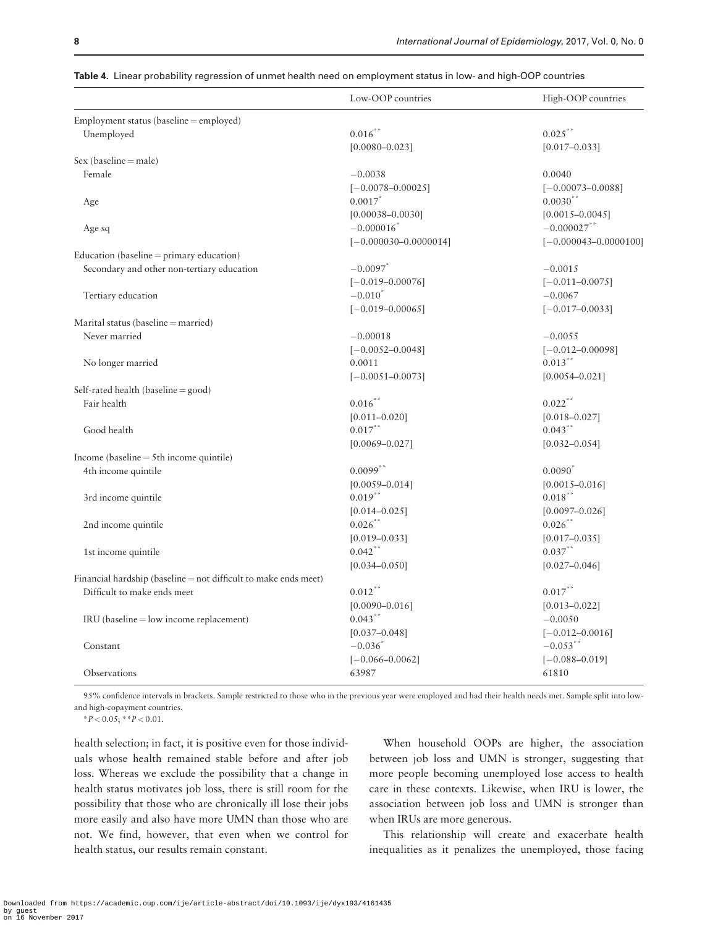|                                                                 | Low-OOP countries         | High-OOP countries        |
|-----------------------------------------------------------------|---------------------------|---------------------------|
| Employment status (baseline = employed)                         |                           |                           |
| Unemployed                                                      | $0.016***$                | $0.025$ **                |
|                                                                 | $[0.0080 - 0.023]$        | $[0.017 - 0.033]$         |
| $Sex (baseline = male)$                                         |                           |                           |
| Female                                                          | $-0.0038$                 | 0.0040                    |
|                                                                 | $[-0.0078 - 0.00025]$     | $[-0.00073 - 0.0088]$     |
| Age                                                             | 0.0017                    | $0.0030**$                |
|                                                                 | $[0.00038 - 0.0030]$      | $[0.0015 - 0.0045]$       |
| Age sq                                                          | $-0.000016$               | $-0.000027$ **            |
|                                                                 | $[-0.000030 - 0.0000014]$ | $[-0.000043 - 0.0000100]$ |
| Education (baseline $=$ primary education)                      |                           |                           |
| Secondary and other non-tertiary education                      | $-0.0097$ <sup>*</sup>    | $-0.0015$                 |
|                                                                 | $[-0.019 - 0.00076]$      | $[-0.011 - 0.0075]$       |
| Tertiary education                                              | $-0.010^*$                | $-0.0067$                 |
|                                                                 | $[-0.019 - 0.00065]$      | $[-0.017 - 0.0033]$       |
| Marital status (baseline = married)                             |                           |                           |
| Never married                                                   | $-0.00018$                | $-0.0055$                 |
|                                                                 | $[-0.0052 - 0.0048]$      | $[-0.012 - 0.00098]$      |
| No longer married                                               | 0.0011                    | $0.013$ **                |
|                                                                 | $[-0.0051 - 0.0073]$      | $[0.0054 - 0.021]$        |
| Self-rated health (baseline = good)                             |                           |                           |
| Fair health                                                     | $0.016$ **                | $0.022$ **                |
|                                                                 | $[0.011 - 0.020]$         | $[0.018 - 0.027]$         |
| Good health                                                     | $0.017***$                | $0.043***$                |
|                                                                 | $[0.0069 - 0.027]$        | $[0.032 - 0.054]$         |
| Income (baseline $=$ 5th income quintile)                       |                           |                           |
| 4th income quintile                                             | $0.0099$ **               | $0.0090^*$                |
|                                                                 | $[0.0059 - 0.014]$        | $[0.0015 - 0.016]$        |
| 3rd income quintile                                             | $0.019***$                | $0.018***$                |
|                                                                 | $[0.014 - 0.025]$         | $[0.0097 - 0.026]$        |
| 2nd income quintile                                             | $0.026***$                | $0.026$ **                |
|                                                                 | $[0.019 - 0.033]$         | $[0.017 - 0.035]$         |
| 1st income quintile                                             | $0.042$ **                | $0.037***$                |
|                                                                 | $[0.034 - 0.050]$         | $[0.027 - 0.046]$         |
| Financial hardship (baseline = not difficult to make ends meet) |                           |                           |
| Difficult to make ends meet                                     | $0.012***$                | $0.017***$                |
|                                                                 | $[0.0090 - 0.016]$        | $[0.013 - 0.022]$         |
| $IRU$ (baseline = low income replacement)                       | $0.043$ **                | $-0.0050$                 |
|                                                                 | $[0.037 - 0.048]$         | $[-0.012 - 0.0016]$       |
| Constant                                                        | $-0.036$ <sup>*</sup>     | $-0.053$ **               |
|                                                                 | $[-0.066 - 0.0062]$       | $[-0.088 - 0.019]$        |
| Observations                                                    | 63987                     | 61810                     |
|                                                                 |                           |                           |

<span id="page-7-0"></span>

|  |  | <b>Table 4</b> .  Linear probability regression of unmet health need on employment status in low- and high-OOP countries |  |  |  |  |  |
|--|--|--------------------------------------------------------------------------------------------------------------------------|--|--|--|--|--|
|--|--|--------------------------------------------------------------------------------------------------------------------------|--|--|--|--|--|

95% confidence intervals in brackets. Sample restricted to those who in the previous year were employed and had their health needs met. Sample split into lowand high-copayment countries.

 $*P < 0.05$ ;  $*P < 0.01$ .

health selection; in fact, it is positive even for those individuals whose health remained stable before and after job loss. Whereas we exclude the possibility that a change in health status motivates job loss, there is still room for the possibility that those who are chronically ill lose their jobs more easily and also have more UMN than those who are not. We find, however, that even when we control for health status, our results remain constant.

When household OOPs are higher, the association between job loss and UMN is stronger, suggesting that more people becoming unemployed lose access to health care in these contexts. Likewise, when IRU is lower, the association between job loss and UMN is stronger than when IRUs are more generous.

This relationship will create and exacerbate health inequalities as it penalizes the unemployed, those facing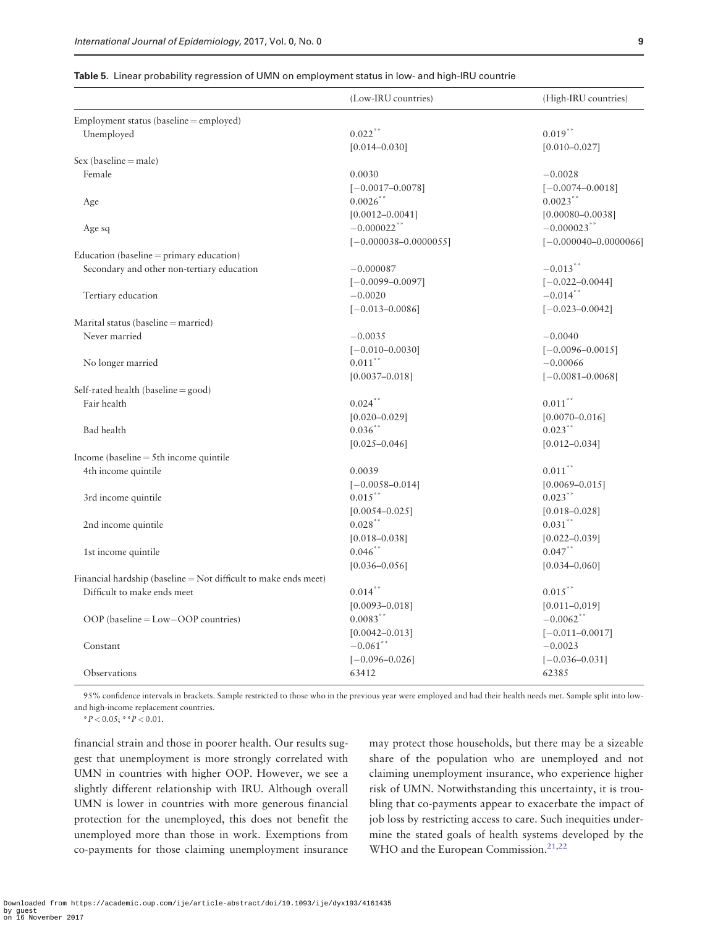|                                                                 | (Low-IRU countries)       | (High-IRU countries)      |
|-----------------------------------------------------------------|---------------------------|---------------------------|
| Employment status (baseline = employed)                         |                           |                           |
| Unemployed                                                      | $0.022$ **                | $0.019**$                 |
|                                                                 | $[0.014 - 0.030]$         | $[0.010 - 0.027]$         |
| Sex (baseline = male)                                           |                           |                           |
| Female                                                          | 0.0030                    | $-0.0028$                 |
|                                                                 | $[-0.0017 - 0.0078]$      | $[-0.0074 - 0.0018]$      |
| Age                                                             | $0.0026$ **               | $0.0023$ **               |
|                                                                 | $[0.0012 - 0.0041]$       | $[0.00080 - 0.0038]$      |
| Age sq                                                          | $-0.000022$ **            | $-0.000023$ **            |
|                                                                 | $[-0.000038 - 0.0000055]$ | $[-0.000040 - 0.0000066]$ |
| Education (baseline = $\text{primary education}$ )              |                           |                           |
| Secondary and other non-tertiary education                      | $-0.000087$               | $-0.013$ **               |
|                                                                 | $[-0.0099 - 0.0097]$      | $[-0.022 - 0.0044]$       |
| Tertiary education                                              | $-0.0020$                 | $-0.014$ **               |
|                                                                 | $[-0.013 - 0.0086]$       | $[-0.023 - 0.0042]$       |
| Marital status (baseline = married)                             |                           |                           |
| Never married                                                   | $-0.0035$                 | $-0.0040$                 |
|                                                                 | $[-0.010 - 0.0030]$       | $[-0.0096 - 0.0015]$      |
| No longer married                                               | $0.011***$                | $-0.00066$                |
|                                                                 | $[0.0037 - 0.018]$        | $[-0.0081 - 0.0068]$      |
| Self-rated health (baseline = good)                             |                           |                           |
| Fair health                                                     | $0.024***$                | $0.011***$                |
|                                                                 | $[0.020 - 0.029]$         | $[0.0070 - 0.016]$        |
| Bad health                                                      | $0.036$ **                | $0.023***$                |
|                                                                 | $[0.025 - 0.046]$         | $[0.012 - 0.034]$         |
| Income (baseline $=$ 5th income quintile                        |                           |                           |
| 4th income quintile                                             | 0.0039                    | $0.011\sp{*}$             |
|                                                                 | $[-0.0058 - 0.014]$       | $[0.0069 - 0.015]$        |
| 3rd income quintile                                             | $0.015***$                | $0.023***$                |
|                                                                 | $[0.0054 - 0.025]$        | $[0.018 - 0.028]$         |
| 2nd income quintile                                             | $0.028$ **                | $0.031***$                |
|                                                                 | $[0.018 - 0.038]$         | $[0.022 - 0.039]$         |
| 1st income quintile                                             | $0.046$ **                | $0.047$ **                |
|                                                                 | $[0.036 - 0.056]$         | $[0.034 - 0.060]$         |
| Financial hardship (baseline = Not difficult to make ends meet) |                           |                           |
| Difficult to make ends meet                                     | $0.014***$                | $0.015***$                |
|                                                                 | $[0.0093 - 0.018]$        | $[0.011 - 0.019]$         |
| OOP (baseline = $Low$ – $OOP$ countries)                        | $0.0083***$               | $-0.0062$ **              |
|                                                                 | $[0.0042 - 0.013]$        | $[-0.011 - 0.0017]$       |
| Constant                                                        | $-0.061$ **               | $-0.0023$                 |
|                                                                 | $[-0.096 - 0.026]$        | $[-0.036 - 0.031]$        |
| Observations                                                    | 63412                     | 62385                     |

<span id="page-8-0"></span>

|  |  |  |  | Table 5. Linear probability regression of UMN on employment status in low- and high-IRU countrie |
|--|--|--|--|--------------------------------------------------------------------------------------------------|
|--|--|--|--|--------------------------------------------------------------------------------------------------|

95% confidence intervals in brackets. Sample restricted to those who in the previous year were employed and had their health needs met. Sample split into lowand high-income replacement countries.

 $*P < 0.05$ ;  $*P < 0.01$ .

financial strain and those in poorer health. Our results suggest that unemployment is more strongly correlated with UMN in countries with higher OOP. However, we see a slightly different relationship with IRU. Although overall UMN is lower in countries with more generous financial protection for the unemployed, this does not benefit the unemployed more than those in work. Exemptions from co-payments for those claiming unemployment insurance may protect those households, but there may be a sizeable share of the population who are unemployed and not claiming unemployment insurance, who experience higher risk of UMN. Notwithstanding this uncertainty, it is troubling that co-payments appear to exacerbate the impact of job loss by restricting access to care. Such inequities undermine the stated goals of health systems developed by the WHO and the European Commission.<sup>[21,22](#page-10-0)</sup>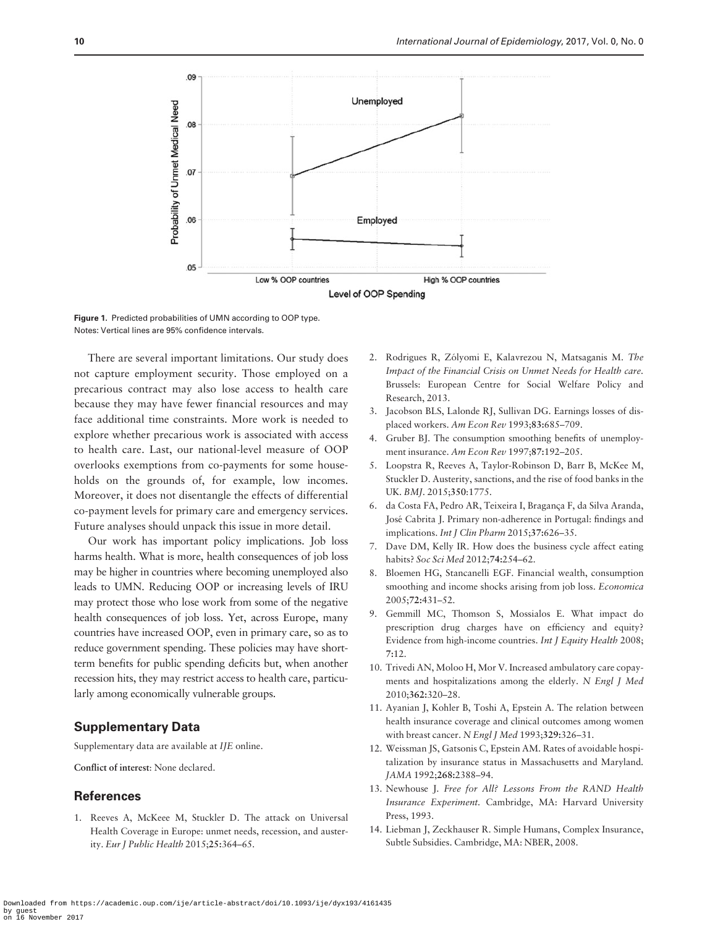<span id="page-9-0"></span>

Figure 1. Predicted probabilities of UMN according to OOP type. Notes: Vertical lines are 95% confidence intervals.

There are several important limitations. Our study does not capture employment security. Those employed on a precarious contract may also lose access to health care because they may have fewer financial resources and may face additional time constraints. More work is needed to explore whether precarious work is associated with access to health care. Last, our national-level measure of OOP overlooks exemptions from co-payments for some households on the grounds of, for example, low incomes. Moreover, it does not disentangle the effects of differential co-payment levels for primary care and emergency services. Future analyses should unpack this issue in more detail.

Our work has important policy implications. Job loss harms health. What is more, health consequences of job loss may be higher in countries where becoming unemployed also leads to UMN. Reducing OOP or increasing levels of IRU may protect those who lose work from some of the negative health consequences of job loss. Yet, across Europe, many countries have increased OOP, even in primary care, so as to reduce government spending. These policies may have shortterm benefits for public spending deficits but, when another recession hits, they may restrict access to health care, particularly among economically vulnerable groups.

# Supplementary Data

Supplementary data are available at IJE online.

Conflict of interest: None declared.

# **References**

1. Reeves A, McKeee M, Stuckler D. The attack on Universal Health Coverage in Europe: unmet needs, recession, and austerity. Eur J Public Health 2015;25:364–65.

- 2. Rodrigues R, Zólyomi E, Kalavrezou N, Matsaganis M. The Impact of the Financial Crisis on Unmet Needs for Health care. Brussels: European Centre for Social Welfare Policy and Research, 2013.
- 3. Jacobson BLS, Lalonde RJ, Sullivan DG. Earnings losses of displaced workers. Am Econ Rev 1993;83:685–709.
- 4. Gruber BJ. The consumption smoothing benefits of unemployment insurance. Am Econ Rev 1997;87:192–205.
- 5. Loopstra R, Reeves A, Taylor-Robinson D, Barr B, McKee M, Stuckler D. Austerity, sanctions, and the rise of food banks in the UK. BMJ. 2015;350:1775.
- 6. da Costa FA, Pedro AR, Teixeira I, Bragança F, da Silva Aranda, Jose´ Cabrita J. Primary non-adherence in Portugal: findings and implications. Int J Clin Pharm 2015;37:626–35.
- 7. Dave DM, Kelly IR. How does the business cycle affect eating habits? Soc Sci Med 2012;74:254–62.
- 8. Bloemen HG, Stancanelli EGF. Financial wealth, consumption smoothing and income shocks arising from job loss. Economica 2005;72:431–52.
- 9. Gemmill MC, Thomson S, Mossialos E. What impact do prescription drug charges have on efficiency and equity? Evidence from high-income countries. Int J Equity Health 2008; 7:12.
- 10. Trivedi AN, Moloo H, Mor V. Increased ambulatory care copayments and hospitalizations among the elderly. N Engl J Med 2010;362:320–28.
- 11. Ayanian J, Kohler B, Toshi A, Epstein A. The relation between health insurance coverage and clinical outcomes among women with breast cancer. N Engl J Med 1993;329:326-31.
- 12. Weissman JS, Gatsonis C, Epstein AM. Rates of avoidable hospitalization by insurance status in Massachusetts and Maryland. JAMA 1992;268:2388–94.
- 13. Newhouse J. Free for All? Lessons From the RAND Health Insurance Experiment. Cambridge, MA: Harvard University Press, 1993.
- 14. Liebman J, Zeckhauser R. Simple Humans, Complex Insurance, Subtle Subsidies. Cambridge, MA: NBER, 2008.